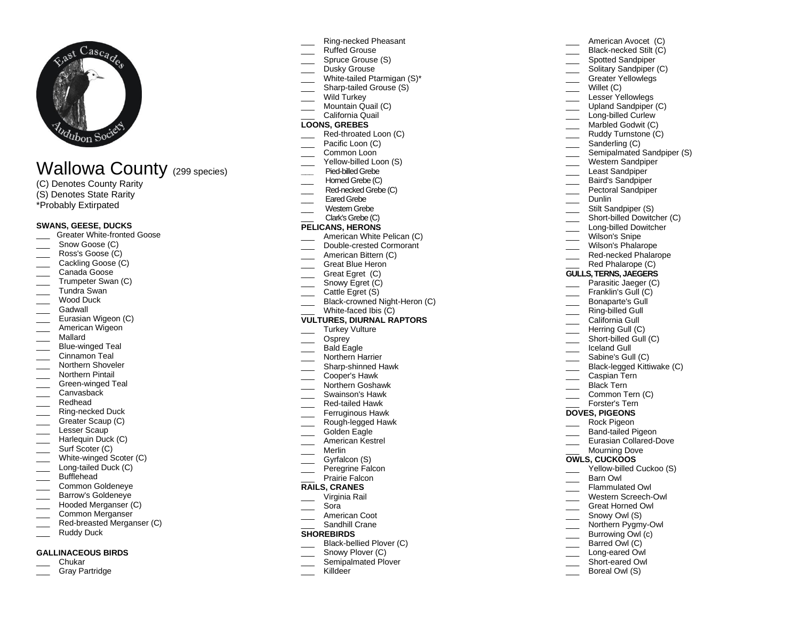

# Wallowa County (299 species)

- (C) Denotes County Rarity
- (S) Denotes State Rarity
- \*Probably Extirpated

## **SWANS, GEESE, DUCKS**

- \_\_\_ Greater White -fronted Goose
- Snow Goose (C)
- Ross's Goose (C)
- Cackling Goose (C)
- \_\_\_ Canada Goose
- Trumpeter Swan (C)
- \_\_\_ Tundra Swan
- Wood Duck
- Gadwall
- Eurasian Wigeon (C)
- American Wigeon
- \_\_\_ Mallard
- \_\_\_ Blue -winged Teal
- Cinnamon Teal
- Northern Shoveler Northern Pintail
- 
- \_\_\_ Green -winged Teal Canvasback
- \_\_\_ Redhead
- 
- \_\_\_ Ring -necked Duck \_\_\_ Greater Scaup (C)
- Lesser Scaup
- Harlequin Duck (C)
- \_\_\_\_ Surf Scoter (C)
- \_\_\_ White -winged Scoter (C)
- \_\_\_ Long -tailed Duck (C)
- \_\_\_ Bufflehead
- \_\_\_ Common Goldeneye
- Barrow's Goldeneye
- \_\_\_ Hooded Merganser (C)
- \_\_\_ Common Merganser
- \_\_\_ Red -breasted Merganser (C)
- Ruddy Duck

#### **GALLINACEOUS BIRDS**

- \_\_\_ Chukar
- Gray Partridge
- \_\_\_ Ring -necked Pheasant
- Ruffed Grouse
- Spruce Grouse (S)
- Dusky Grouse
- \_\_\_ White-tailed Ptarmigan (S)\*
- \_\_\_ Sharp -tailed Grouse (S)
- Wild Turkey
- Mountain Quail (C) California Quail

# **LOONS, GREBES**

- \_\_\_ Red -throated Loon (C)
- Pacific Loon (C)
- Common Loon
- \_\_\_ Yellow -billed Loon (S)
- **\_\_\_** Pied -billedGrebe
- Homed Grebe (C)
- \_\_\_ Red -necked Grebe (C)
- Eared Grebe
- \_\_\_ Western Grebe
- \_\_\_ Clark's Grebe (C)

# **PELICANS, HERONS**

- American White Pelican (C)
- \_\_\_ Double -crested Cormorant
- American Bittern (C)
- Great Blue Heron
- Great Egret (C)
- Snowy Egret (C)
- Cattle Egret (S)
- \_\_\_ Black-crowned Night-Heron (C)

# \_\_\_ White -faced Ibis (C)

# **VULTURES, DIURNAL RAPTORS**

- Turkey Vulture
- \_\_\_ Osprey
- Bald Eagle
- Northern Harrier
- \_\_\_ Sharp -shinned Hawk
- \_\_\_ Cooper's Hawk
- \_\_\_ Northern Goshawk
- \_\_\_ Swainson's Hawk
- \_\_\_ Red -tailed Hawk
- Ferruginous Hawk
- \_\_\_ Rough -legged Hawk
- Golden Eagle
- \_\_\_ American Kestrel
- \_\_\_ Merlin
- Gyrfalcon (S) Peregrine Falcon
- Prairie Falcon

# **RAILS, CRANES**

- \_\_\_ Virginia Rail
- \_\_\_ Sora
- American Coot
- Sandhill Crane

#### **SHOREBIRDS**

- \_\_\_ Black -bellied Plover (C)
- Snowy Plover (C)
- Semipalmated Plover
	- Killdeer

\_\_\_ Black -necked Stilt (C) Spotted Sandpiper Solitary Sandpiper (C) Greater Yellowlegs Willet (C) Lesser Yellowlegs Upland Sandpiper (C) \_\_\_ Long -billed Curlew Marbled Godwit (C) Ruddy Turnstone (C) Sanderling (C) Semipalmated Sandpiper (S) Western Sandpiper Least Sandpiper Baird's Sandpiper Pectoral Sandpiper Dunlin Stilt Sandpiper (S) \_\_\_ Short -billed Dowitcher (C) \_\_\_ Long -billed Dowitcher Wilson's Snipe Wilson's Phalarope \_\_\_ Red -necked Phalarope Red Phalarope (C) **GULLS, TERNS, JAEGERS** Parasitic Jaeger (C) Franklin's Gull (C) \_\_\_ Bonaparte's Gull \_\_\_ Ring -billed Gull California Gull Herring Gull (C) \_\_\_ Short -billed Gull (C) \_\_\_ Iceland Gull Sabine's Gull (C) \_\_\_ Black -legged Kittiwake (C) Caspian Tern Black Tern Common Tern (C)  $\overline{\phantom{a}}$ Forster's Tern **DOVES, PIGEONS** \_\_\_ Rock Pigeon \_\_\_ Band -tailed Pigeon \_\_\_ Eurasian Collared -Dove Mourning Dove **OWLS, CUCKOOS** \_\_\_ Yellow - billed Cuckoo (S) \_\_\_ Barn Owl Flammulated Owl \_\_\_ Western Screech -Owl

American Avocet (C)

\_\_\_ Great Horned Owl

\_\_\_ Northern Pygmy-Owl Burrowing Owl (c) Barred Owl (C) \_\_\_ Long -eared Owl \_\_\_ Short -eared Owl Boreal Owl (S)

Snowy Owl (S)